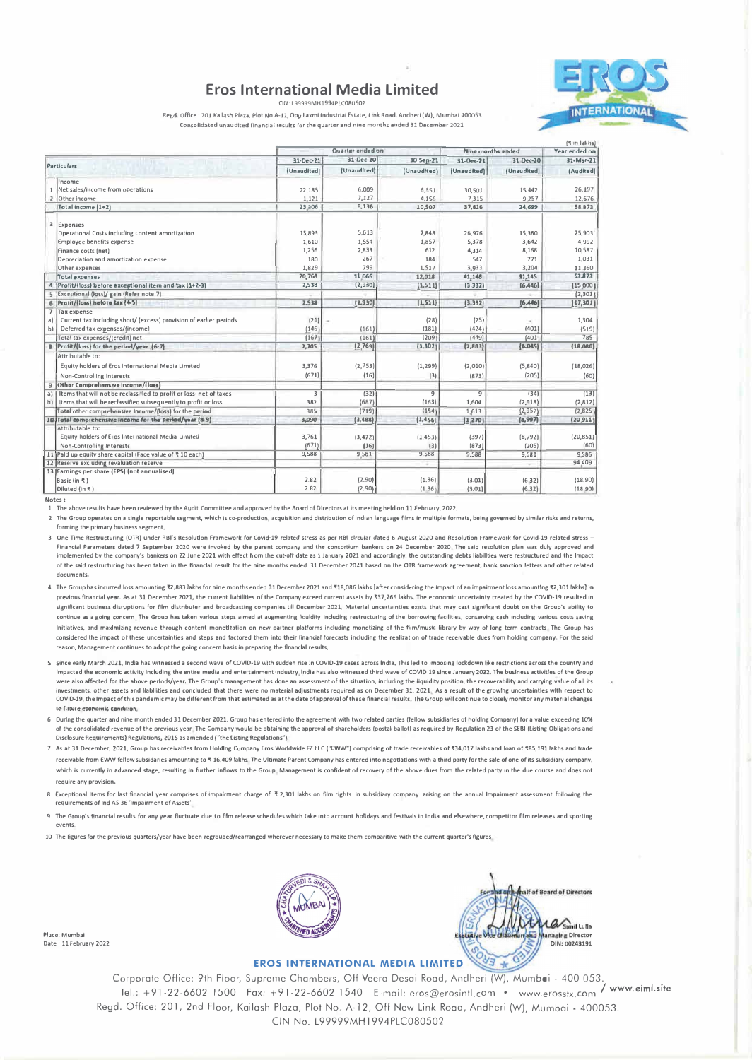#### **Eros International Media Limited** CINE LOOGGOM HIS GAN CORREO



Regd. Office : 201 Kailash Plaza, Plot No A-12, Opp Laxmi Industrial Estate, Link Road, Andheri (W), Mumbai 400053 Consolidated unaudited financial results for the quarter and nine months ended 31 December 2021

|                                                                          | Quarter ended on         |                          | Ning manths ended        |                          | $I_A$ it is relatively<br>Year ended on |                        |
|--------------------------------------------------------------------------|--------------------------|--------------------------|--------------------------|--------------------------|-----------------------------------------|------------------------|
|                                                                          | 31-Dec-21<br>(Unaudited) | 31-Dec-20<br>(Unaudited) | 30-5ep-21                | 31-Dec-71<br>(Unaudited) | 31-Dec-20<br>(Unaudited)                | 31-Mar-21<br>(Audited) |
| Particulars                                                              |                          |                          | (Unaudited)              |                          |                                         |                        |
| Income                                                                   |                          |                          |                          |                          |                                         |                        |
| 1 Net sales/income from operations                                       | 22,185                   | 6,009                    | 6.351                    | 30,501                   | 15.442                                  | 26.197                 |
| 2 Other Income                                                           | 1,121                    | 2,127                    | 4.156                    | 7.315                    | 9 2 5 7                                 | 12,676                 |
| Total income (1+2)                                                       | 23,306                   | 8,136                    | 10.507                   | 37,616                   | 24,699                                  | 38.873                 |
| 3 Expenses                                                               |                          |                          |                          |                          |                                         |                        |
| Operational Costs including content amortization                         | 15.893                   | 5,613                    | 7.848                    | 26,976                   | 15,360                                  | 25,903                 |
| <b>Employee benefits expense</b>                                         | 1.610                    | 1,554                    | 1,857                    | 5,378                    | 3.642                                   | 4,992                  |
| Finance costs (net)                                                      | 1,256                    | 2,833                    | 612                      | 4,314                    | 8,168                                   | 10,587                 |
| Depreciation and amortization expense                                    | 180                      | 267                      | 184                      | 547                      | 771                                     | 1,031                  |
| Other expenses                                                           | 1,829                    | 799                      | 1.517                    | 3,933                    | 3,204                                   | 11,360                 |
| Total expenses                                                           | 20,768                   | 11,066                   | 12,018                   | 41,148                   | 31,145                                  | 53,873                 |
| 4 Profit/lloss) before exceptional item and tax (1+2-3)                  | 2,538                    | (2,930)                  | (1, 511)                 | (3.332)                  | [6,446]                                 | (15,000)               |
| 5 Exceptional (loss)/ gain (Refer note 7)                                |                          |                          |                          |                          |                                         | [2,301]                |
| 6 Profit/(loss) before tax (4-5)                                         | 2.538                    | (7,930)                  | [1.511]                  | (3, 332)                 | [6,446]                                 | [17, 301]              |
| 7 Tax expense                                                            |                          |                          |                          |                          |                                         |                        |
| Current tax including short/ (excess) provision of earlier periods<br>aì | (21)                     |                          | (28)                     | (25)                     |                                         | 1,304                  |
| Deferred tax expenses/(income)<br>b) l                                   | (146)                    | (161)                    | (181)                    | (424)                    | (401)                                   | (519)                  |
| Total tax expenses/(credit) net                                          | (167)                    | (161)                    | (209)                    | (449)                    | (401)                                   | 785                    |
| R Profit/(loss) for the period/year (6-7)                                | 2,705                    | (2,769)                  | [1, 302]                 | (2,883)                  | (6.005)                                 | (18.086)               |
| Attributable to:                                                         |                          |                          |                          |                          |                                         |                        |
| Equity holders of Eros International Media Limited                       | 3.376                    | (2.753)                  | (1, 299)                 | (2,010)                  | (5, 840)                                | (18,026)               |
| <b>Non-Controlling Interests</b>                                         | (671)                    | (16)                     | [3]                      | (873)                    | (205)                                   | (60)                   |
| 9 Other Comprehensive Income/(lass)                                      |                          |                          |                          |                          |                                         |                        |
| a) Items that will not be reclassified to profit or loss- net of taxes   | 3                        | (32)                     | $\overline{9}$           | 9                        | (34)                                    | (13)                   |
| b) Items that will be reclassified subsequently to profit or loss        | 382                      | (687)                    | (163)                    | 1.604                    | (2,918)                                 | (2,812)                |
| Total other comprehensive Incarne/(loss) for the period                  | 385                      | (719)                    | (154)                    | 1,613                    | (2,952)                                 | (2, 825)               |
| 10 Total comprehensive income for the period/year (8-9)                  | 3,090                    | (3,488)                  | (1, 456)                 | (1, 270)                 | (4,997)                                 | (20, 911)              |
| Attributable to:                                                         |                          |                          |                          |                          |                                         |                        |
| Equity holders of Eros International Media Limited                       | 3.761                    | (3, 472)                 | (1, 453)                 | (397)                    | (8, 792)                                | (20, 851)              |
| Non-Controlling Interests                                                | (671)                    | (16)                     | (3)                      | (873)                    | (205)                                   | (60)                   |
| 11   Pald up equity share capital (Face value of ₹10 each)               | 9,588                    | 9,581                    | 9,588                    | 9,588                    | 9,581                                   | 9,586                  |
| 12 Reserve excluding revaluation reserve                                 |                          |                          | $\overline{\phantom{a}}$ |                          | $\sim$                                  | 94,409                 |
| 13 Earnings per share (EPS) (not annualised)                             |                          |                          |                          |                          |                                         |                        |
| Basic (in ₹)                                                             | 2.82                     | (2,90)                   | (1, 36)                  | (3.01)                   | (632)                                   | (18.90)                |
| Diluted (in ₹)                                                           | 2.82                     | (2.90)                   | (1, 36)                  | (3.01)                   | (6.32)                                  | (18, 90)               |

Notes:

------<br>1 The above results have been reviewed by the Audit Committee and approved by the Board of Directors at its meeting held on 11 February, 2022.

2 The Group operates on a single reportable segment, which is co-production, acquisition and distribution of Indian language films in multiple formats, being governed by similar risks and returns, forming the primary business segment,

3 One Time Restructuring (OTR) under RBI's Resolution Framework for Covid-19 related stress as per RBI circular dated 6 August 2020 and Resolution Framework for Covid-19 related stress Financial Parameters dated 7 September 2020 were invoked by the parent company and the consortium bankers on 24 December 2020. The said resolution plan was duly approved and<br>implemented by the company's bankers on 22 June of the said restructuring has been taken in the financial result for the nine months ended 31 December 2021 based on the OTR framework agreement, bank sanction letters and other related documents

4 The Group has incurred loss amounting ₹2,883 lakhs for nine months ended 31 December 2021 and ₹18,086 lakhs [after considering the impact of an impairment loss amounting ₹2,301 lakhs] in previous financial year. As at 31 December 2021, the current liabilities of the Company exceed current assets by ₹37,266 lakhs. The economic uncertainty created by the COVID-19 resulted in significant business disruptions for film distnbuter and broadcasting companies till December 2021. Material uncertainties exists that may cast significant doubt on the Group's ability to continue as a going concern. The Group has taken various steps aimed at augmenting liquidity including restructuring of the borrowing facilities, conserving cash including various costs saving Initiatives, and maximizing revenue through content monetization on new partner platforms including monetizing of the film/music library by way of long term contracts The Group has considered the impact of these uncertainties and steps and factored them into their financial forecasts including the realization of trade receivable dues from holding company. For the said reason. Management continues to adopt the going concern basis in preparing the financial results.

- Since early March 2021, India has witnessed a second wave of COVID-19 with sudden rise in COVID-19 cases across India. This led to imposing lockdown like restrictions across the country and impacted the economic activity including the entire media and entertainment industry, India has also witnessed third wave of COVID 19 since January 2022. The business activities of the Group were also affected for the above perlods/year. The Group's management has done an assessment of the situation, including the liquidity position, the recoverability and carrying value of all its investments, other assets and liabilities and concluded that there were no material adjustments required as on December 31, 2021. As a result of the growing uncertaintles with respect to COVID-19, the Impact of this pandemic may be different from that estimated as at the date of approval of these financial results. The Group will continue to closely monitor any material changes to fiture economic condition
- 6 During the quarter and nine month ended 31 December 2021, Group has entered into the agreement with two related parties (fellow subsidiarles of holding Company) for a value exceeding 10% of the consolidated revenue of the previous year. The Company would be obtaining the approval of shareholders (postal ballot) as required by Regulation 23 of the SEBI (Listing Obligations and Disclosure Requirements) Regulations, 2015 as amended ("the Listing Regulations").
- 7 As at 31 December, 2021, Group has receivables from Holding Company Eros Worldwide FZ LLC ("EWW") comprising of trade receivables of ₹34,017 lakhs and loan of ₹85,191 lakhs and trade receivable from EWW fellow subsidaries amounting to ₹ 16,409 lakhs. The Ultimate Parent Company has entered into negotlations with a third party for the sale of one of its subsidiary company, which is currently in advanced stage, resulting in further inflows to the Group. Management is confident of recovery of the above dues from the related party in the due course and does not require any provision.
- 8 Exceptional Items for last financial year comprises of impairment charge of ₹2,301 lakhs on film rights in subsidiary company arising on the annual Impairment assessment following the requirements of Ind AS 36 'Impairment of Assets'
- The Group's financial results for any year fluctuate due to film release schedules which take into account holidays and festivals in India and elsewhere, competitor film releases and sporting  $\overline{9}$ and a motor

10 The figures for the previous quarters/year have been regrouped/rearranged wherever necessary to make them comparitive with the current quarter's figures

Place: Mumbai Date: 11 February 2022





#### **EROS INTERNATIONAL MEDIA LIMITED**

Corporate Office: 9th Floor, Supreme Chambers, Off Veera Desai Road, Andheri (W), Mumbei - 400 053. / www.eiml.site Tel.: +91-22-6602 1500 Fax: +91-22-6602 1540 E-mail: eros@erosintl.com • www.erosstx.com Regd. Office: 201, 2nd Floor, Kailash Plaza, Plot No. A-12, Off New Link Road, Andheri (W), Mumbai - 400053. CIN No. L99999MH1994PLC080502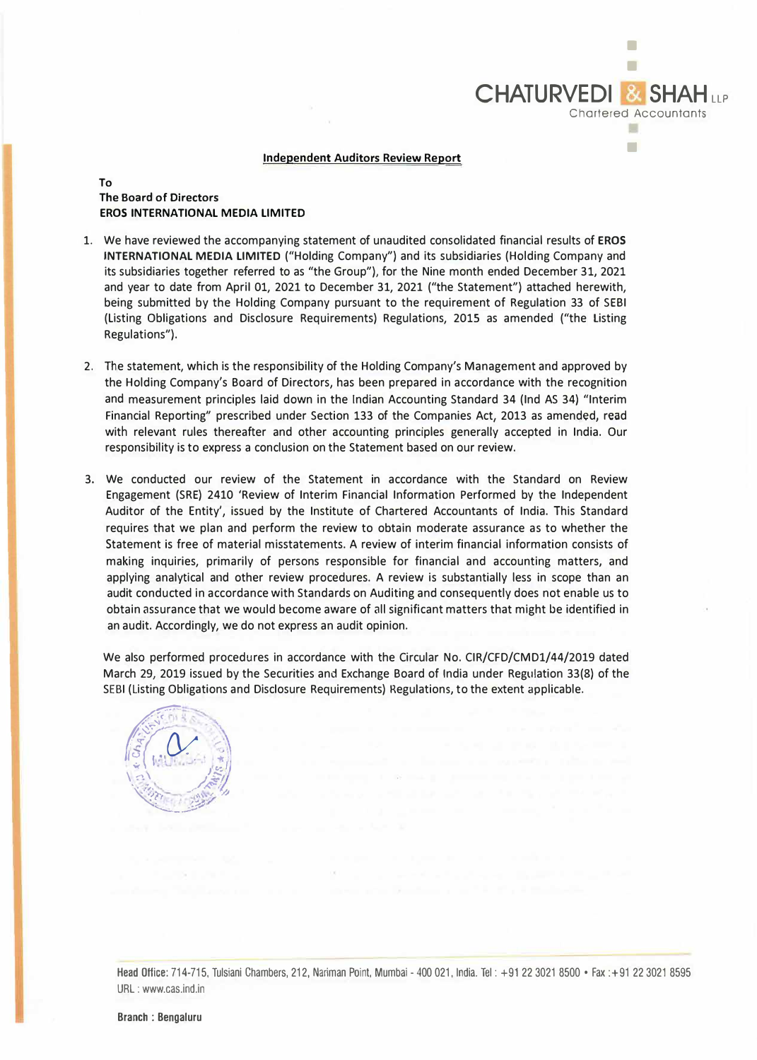

•

## **Independent Auditors Review Report**

# **To The Board of Directors EROS INTERNATIONAL MEDIA LIMITED**

- 1. We have reviewed the accompanying statement of unaudited consolidated financial results of **EROS INTERNATIONAL MEDIA LIMITED** ("Holding Company") and its subsidiaries (Holding Company and its subsidiaries together referred to as "the Group"), for the Nine month ended December 31, 2021 and year to date from April 01, 2021 to December 31, 2021 ("the Statement") attached herewith, being submitted by the Holding Company pursuant to the requirement of Regulation 33 of SEBI (Listing Obligations and Disclosure Requirements) Regulations, 2015 as amended ("the Listing Regulations").
- 2. The statement, which is the responsibility of the Holding Company's Management and approved by the Holding Company's Board of Directors, has been prepared in accordance with the recognition and measurement principles laid down in the Indian Accounting Standard 34 (Ind AS 34) "Interim Financial Reporting" prescribed under Section 133 of the Companies Act, 2013 as amended, read with relevant rules thereafter and other accounting principles generally accepted in India. Our responsibility is to express a conclusion on the Statement based on our review.
- 3. We conducted our review of the Statement in accordance with the Standard on Review Engagement (SRE) 2410 'Review of Interim Financial Information Performed by the Independent Auditor of the Entity', issued by the Institute of Chartered Accountants of India. This Standard requires that we plan and perform the review to obtain moderate assurance as to whether the Statement is free of material misstatements. A review of interim financial information consists of making inquiries, primarily of persons responsible for financial and accounting matters, and applying analytical and other review procedures. A review is substantially less in scope than an audit conducted in accordance with Standards on Auditing and consequently does not enable us to obtain assurance that we would become aware of all significant matters that might be identified in an audit. Accordingly, we do not express an audit opinion.

We also performed procedures in accordance with the Circular No. CIR/CFD/CMD1/44/2019 dated March 29, 2019 issued by the Securities and Exchange Board of India under Regulation 33(8) of the SEBI (Listing Obligations and Disclosure Requirements) Regulations, to the extent applicable. ----



Head Office: 714-715, Tulsiani Chambers, 212, Nariman Point. Mumbai - 400 021, India. Tel: +91223021 8500 • Fax :+91 223021 8595 URL : www.cas.ind.in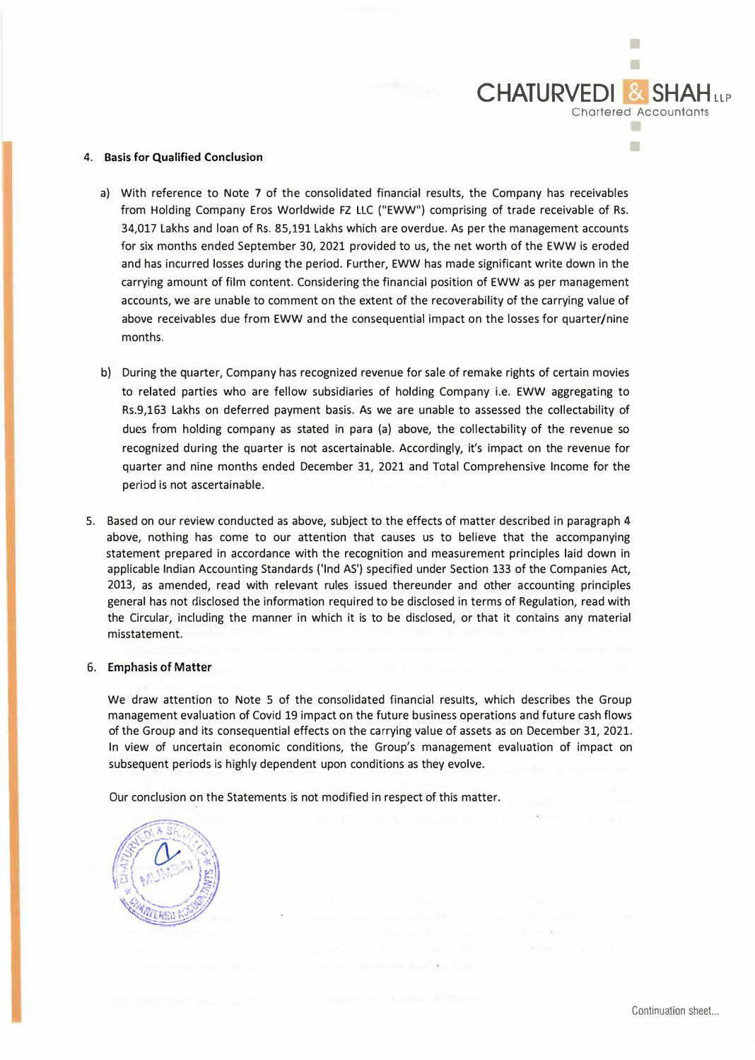

### **4. Basis for Qualified Conclusion**

- a) With reference to Note 7 of the consolidated financial results, the Company has receivables from Holding Company Eros Worldwide FZ LLC ("EWW") comprising of trade receivable of Rs. 34,017 lakhs and loan of Rs. 85,191 Lakhs which are overdue. As per the management accounts for six months ended September 30, 2021 provided to us, the net worth of the EWW is eroded and has incurred losses during the period. Further, EWW has made significant write down in the carrying amount of film content. Considering the financial position of EWW as per management accounts, we are unable to comment on the extent of the recoverability of the carrying value of above receivables due from EWW and the consequential impact on the losses for quarter/nine months.
- b) During the quarter, Company has recognized revenue for sale of remake rights of certain movies to related parties who are fellow subsidiaries of holding Company i.e. EWW aggregating to Rs.9,163 Lakhs on deferred payment basis. As we are unable to assessed the collectability of dues from holding company as stated in para (a) above, the collectability of the revenue so recognized during the quarter is not ascertainable. Accordingly, it's impact on the revenue for quarter and nine months ended December 31, 2021 and Total Comprehensive Income for the period is not ascertainable.
- 5. Based on our review conducted as above, subject to the effects of matter described in paragraph 4 above, nothing has come to our attention that causes us to believe that the accompanying statement prepared in accordance with the recognition and measurement principles laid down in applicable Indian Accounting Standards ('Ind AS') specified under Section 133 of the Companies Act, 2013, as amended, read with relevant rules issued thereunder and other accounting principles general has not disclosed the information required to be disclosed in terms of Regulation, read with the Circular, including the manner in which it is to be disclosed, or that it contains any material misstatement.

### **6. Emphasis of Matter**

We draw attention to Note 5 of the consolidated financial results, which describes the Group management evaluation of Covid 19 impact on the future business operations and future cash flows of the Group and its consequential effects on the carrying value of assets as on December 31, 2021. In view of uncertain economic conditions, the Group's management evaluation of impact on subsequent periods is highly dependent upon conditions as they evolve.

Our conclusion on the Statements is not modified in respect of this matter.

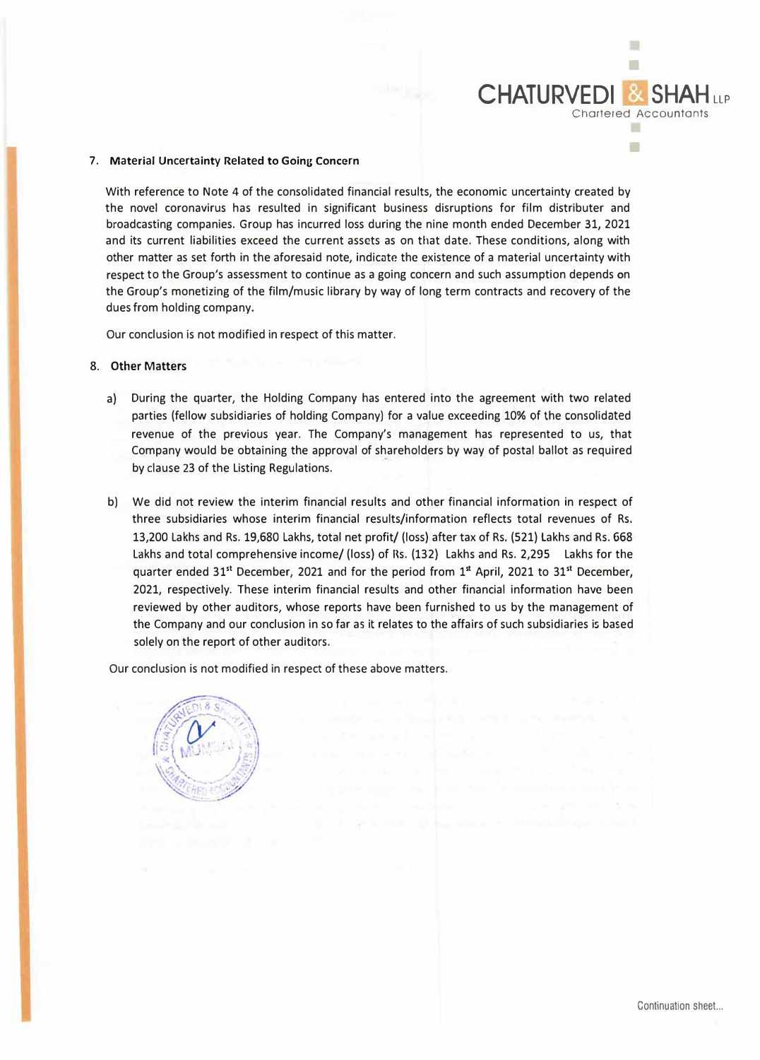### 7. Material Uncertainty Related to Going Concern

With reference to Note 4 of the consolidated financial results, the economic uncertainty created by the novel coronavirus has resulted in significant business disruptions for film distributer and broadcasting companies. Group has incurred loss during the nine month ended December 31, 2021 and its current liabilities exceed the current assets as on that date. These conditions, along with other matter as set forth in the aforesaid note, indicate the existence of a material uncertainty with respect to the Group's assessment to continue as a going concern and such assumption depends on the Group's monetizing of the film/music library by way of long term contracts and recovery of the dues from holding company.

Our conclusion is not modified in respect of this matter.

### **8. Other Matters**

- a) During the quarter, the Holding Company has entered into the agreement with two related parties (fellow subsidiaries of holding Company) for a value exceeding 10% of the consolidated revenue of the previous year. The Company's management has represented to us, that Company would be obtaining the approval of shareholders by way of postal ballot as required by clause 23 of the Listing Regulations.
- b) We did not review the interim financial results and other financial information in respect of three subsidiaries whose interim financial results/information reflects total revenues of Rs. 13,200 Lakhs and Rs. 19,680 Lakhs, total net profit/ (loss) after tax of Rs. (521) Lakhs and Rs. 668 Lakhs and total comprehensive income/ (loss) of Rs. (132) Lakhs and Rs. 2,295 Lakhs for the quarter ended 31**st** December, 2021 and for the period from 1 **st** April, 2021 to 31**st** December, 2021, respectively. These interim financial results and other financial information have been reviewed by other auditors, whose reports have been furnished to us by the management of the Company and our conclusion in so far as it relates to the affairs of such subsidiaries is based solely on the report of other auditors.

Our conclusion is not modified in respect of these above matters.



■

Chartered Accountants

■

**CHATURVEDI &**